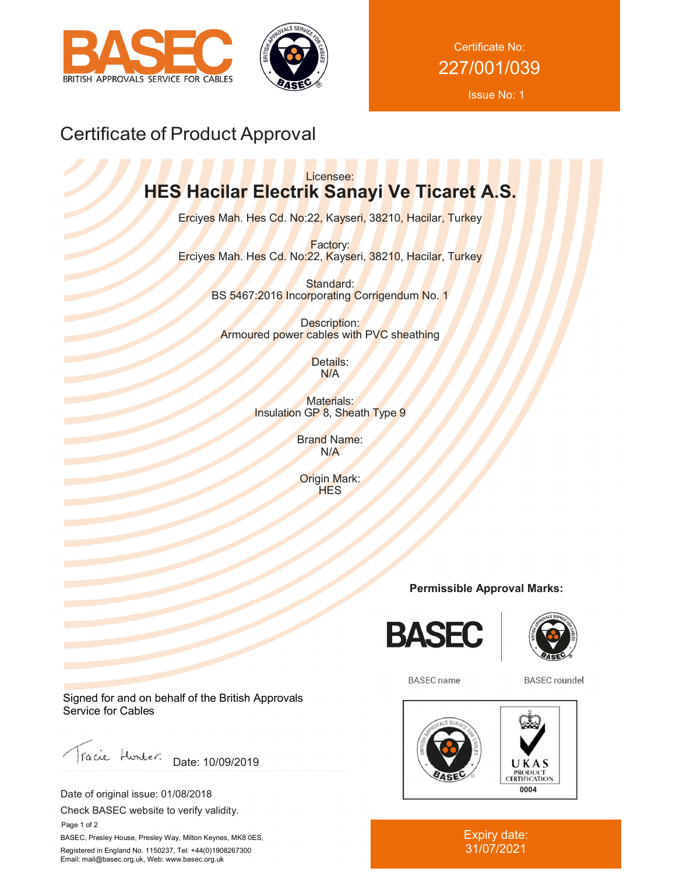



Certificate No: 227/001/039

Issue No: 1

# Certificate of Product Approval

## Licensee: **HES Hacilar Electrik Sanayi Ve Ticaret A.S.**

Erciyes Mah. Hes Cd. No:22, Kayseri, 38210, Hacilar, Turkey

Factory: Erciyes Mah. Hes Cd. No:22, Kayseri, 38210, Hacilar, Turkey

> Standard: BS 5467:2016 Incorporating Corrigendum No. 1

Description: Armoured power cables with PVC sheathing

> Details: N/A

Materials: Insulation GP 8, Sheath Type 9

> Brand Name: N/A

Origin Mark: **HES** 

### **Permissible Approval Marks:**





**BASEC** name

**BASEC** roundel



Expiry date: 31/07/2021

Signed for and on behalf of the British Approvals Service for Cables

racie Hunter. Date: 10/09/2019

Date of original issue: 01/08/2018

Check BASEC website to verify validity.

 Page 1 of 2 BASEC, Presley House, Presley Way, Milton Keynes, MK8 0ES, Registered in England No. 1150237, Tel: +44(0)1908267300 Email: mail@basec.org.uk, Web: www.basec.org.uk